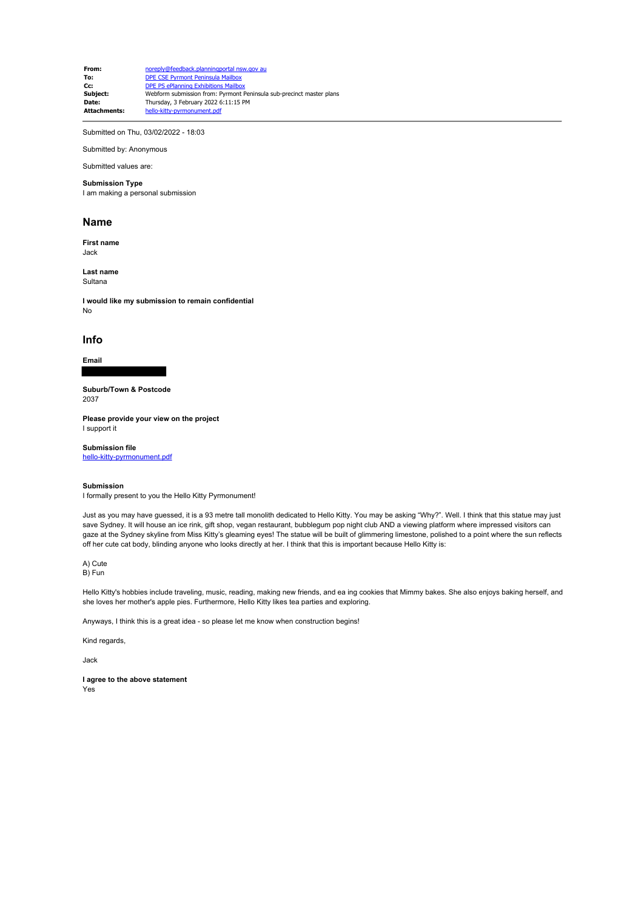**From:** noreply@feedback.planningportal nsw.gov au **To:** DPE CSE Pyrmont Peninsula Mailbox **Cc:** DPE PS ePlanning Exhibitions Mailbox<br> **Subject:** Webform submission from: Pyrmont I **Subject:** Webform submission from: Pyrmont Peninsula sub-precinct master plans<br> **Date:** Thursday 3 February 2022 6:11:15 PM Thursday, 3 February 2022 6:11:15 PM<br>hello-kitty-pyrmonument pdf **Attachments:** 

Submitted on Thu, 03/02/2022 - 18:03

Submitted by: Anonymous

## Submitted values are:

**Submission Type** I am making a personal submission

## **Name**

**First name** Jack

**Last name** Sultana

**I would like my submission to remain confidential** No

## **Info**

**Email**

**Suburb/Town & Postcode**

2037

**Please provide your view on the project** I support it

**Submission file**

hello-kitty-pyrmonument.pdf

## **Submission**

I formally present to you the Hello Kitty Pyrmonument!

Just as you may have guessed, it is a 93 metre tall monolith dedicated to Hello Kitty. You may be asking "Why?". Well. I think that this statue may just save Sydney. It will house an ice rink, gift shop, vegan restaurant, bubblegum pop night club AND a viewing platform where impressed visitors can gaze at the Sydney skyline from Miss Kitty's gleaming eyes! The statue will be built of glimmering limestone, polished to a point where the sun reflects off her cute cat body, blinding anyone who looks directly at her. I think that this is important because Hello Kitty is:

A) Cute B) Fun

Hello Kitty's hobbies include traveling, music, reading, making new friends, and ea ing cookies that Mimmy bakes. She also enjoys baking herself, and she loves her mother's apple pies. Furthermore, Hello Kitty likes tea parties and exploring.

Anyways, I think this is a great idea - so please let me know when construction begins!

Kind regards,

Jack

**I agree to the above statement** Yes